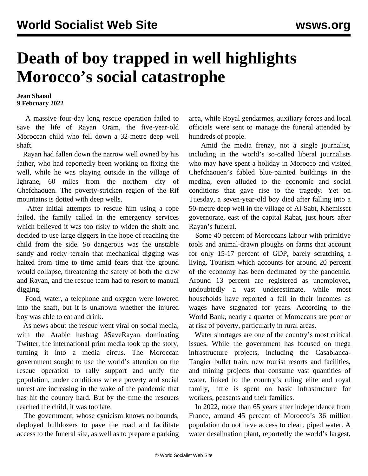## **Death of boy trapped in well highlights Morocco's social catastrophe**

## **Jean Shaoul 9 February 2022**

 A massive four-day long rescue operation failed to save the life of Rayan Oram, the five-year-old Moroccan child who fell down a 32-metre deep well shaft.

 Rayan had fallen down the narrow well owned by his father, who had reportedly been working on fixing the well, while he was playing outside in the village of Ighrane, 60 miles from the northern city of Chefchaouen. The poverty-stricken region of the Rif mountains is dotted with deep wells.

 After initial attempts to rescue him using a rope failed, the family called in the emergency services which believed it was too risky to widen the shaft and decided to use large diggers in the hope of reaching the child from the side. So dangerous was the unstable sandy and rocky terrain that mechanical digging was halted from time to time amid fears that the ground would collapse, threatening the safety of both the crew and Rayan, and the rescue team had to resort to manual digging.

 Food, water, a telephone and oxygen were lowered into the shaft, but it is unknown whether the injured boy was able to eat and drink.

 As news about the rescue went viral on social media, with the Arabic hashtag #SaveRayan dominating Twitter, the international print media took up the story, turning it into a media circus. The Moroccan government sought to use the world's attention on the rescue operation to rally support and unify the population, under conditions where poverty and social unrest are increasing in the wake of the pandemic that has hit the country hard. But by the time the rescuers reached the child, it was too late.

 The government, whose cynicism knows no bounds, deployed bulldozers to pave the road and facilitate access to the funeral site, as well as to prepare a parking area, while Royal gendarmes, auxiliary forces and local officials were sent to manage the funeral attended by hundreds of people.

 Amid the media frenzy, not a single journalist, including in the world's so-called liberal journalists who may have spent a holiday in Morocco and visited Chefchaouen's fabled blue-painted buildings in the medina, even alluded to the economic and social conditions that gave rise to the tragedy. Yet on Tuesday, a seven-year-old boy died after falling into a 50-metre deep well in the village of Al-Sabt, Khemisset governorate, east of the capital Rabat, just hours after Rayan's funeral.

 Some 40 percent of Moroccans labour with primitive tools and animal-drawn ploughs on farms that account for only 15-17 percent of GDP, barely scratching a living. Tourism which accounts for around 20 percent of the economy has been decimated by the pandemic. Around 13 percent are registered as unemployed, undoubtedly a vast underestimate, while most households have reported a fall in their incomes as wages have stagnated for years. According to the World Bank, nearly a quarter of Moroccans are poor or at risk of poverty, particularly in rural areas.

 Water shortages are one of the country's most critical issues. While the government has focused on mega infrastructure projects, including the Casablanca-Tangier bullet train, new tourist resorts and facilities, and mining projects that consume vast quantities of water, linked to the country's ruling elite and royal family, little is spent on basic infrastructure for workers, peasants and their families.

 In 2022, more than 65 years after independence from France, around 45 percent of Morocco's 36 million population do not have access to clean, piped water. A water desalination plant, reportedly the world's largest,